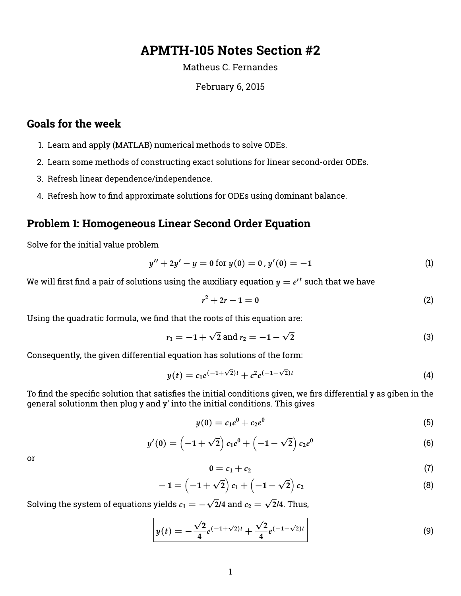# **APMTH-105 Notes Section #2**

### Matheus C. Fernandes

#### February 6, 2015

## **Goals for the week**

- 1. Learn and apply (MATLAB) numerical methods to solve ODEs.
- 2. Learn some methods of constructing exact solutions for linear second-order ODEs.
- 3. Refresh linear dependence/independence.
- 4. Refresh how to find approximate solutions for ODEs using dominant balance.

### **Problem 1: Homogeneous Linear Second Order Equation**

Solve for the initial value problem

$$
y'' + 2y' - y = 0 \text{ for } y(0) = 0, y'(0) = -1 \tag{1}
$$

We will first find a pair of solutions using the auxiliary equation  $y = e^{rt}$  such that we have

$$
r^2 + 2r - 1 = 0 \tag{2}
$$

Using the quadratic formula, we find that the roots of this equation are:

$$
r_1 = -1 + \sqrt{2} \text{ and } r_2 = -1 - \sqrt{2}
$$
 (3)

Consequently, the given differential equation has solutions of the form:

$$
y(t) = c_1 e^{(-1+\sqrt{2})t} + c^2 e^{(-1-\sqrt{2})t}
$$
\n(4)

To find the specific solution that satisfies the initial conditions given, we firs differential y as giben in the general solutionm then plug y and y' into the initial conditions. This gives

$$
y(0) = c_1 e^0 + c_2 e^0 \tag{5}
$$

$$
y'(0) = \left(-1 + \sqrt{2}\right)c_1e^0 + \left(-1 - \sqrt{2}\right)c_2e^0
$$
 (6)

or

$$
0=c_1+c_2\tag{7}
$$

$$
-1 = \left(-1 + \sqrt{2}\right)c_1 + \left(-1 - \sqrt{2}\right)c_2
$$
\n(8)

Solving the system of equations yields  $c_1 = -$ **2/4** and  $c_2 =$ **2/4**. Thus,

$$
y(t) = -\frac{\sqrt{2}}{4}e^{(-1+\sqrt{2})t} + \frac{\sqrt{2}}{4}e^{(-1-\sqrt{2})t}
$$
\n(9)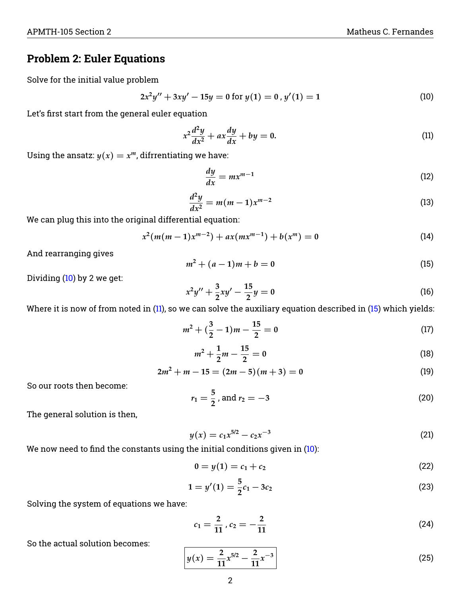## **Problem 2: Euler Equations**

Solve for the initial value problem

<span id="page-1-0"></span>
$$
2x2y'' + 3xy' - 15y = 0 \text{ for } y(1) = 0, y'(1) = 1
$$
 (10)

Let's first start from the general euler equation

<span id="page-1-1"></span>
$$
x^2\frac{d^2y}{dx^2} + ax\frac{dy}{dx} + by = 0.
$$
\n(11)

Using the ansatz:  $y(x) = x^m$ , difrrentiating we have:

$$
\frac{dy}{dx} = mx^{m-1} \tag{12}
$$

$$
\frac{d^2y}{dx^2} = m(m-1)x^{m-2}
$$
 (13)

We can plug this into the original differential equation:

$$
x^{2}(m(m-1)x^{m-2}) + ax(mx^{m-1}) + b(x^{m}) = 0
$$
\n(14)

And rearranging gives

<span id="page-1-2"></span>
$$
m^2 + (a-1)m + b = 0 \tag{15}
$$

Dividing [\(10\)](#page-1-0) by 2 we get:

$$
x^2y'' + \frac{3}{2}xy' - \frac{15}{2}y = 0
$$
 (16)

Where it is now of from noted in [\(11\)](#page-1-1), so we can solve the auxiliary equation described in [\(15\)](#page-1-2) which yields:

$$
m^2 + (\frac{3}{2} - 1)m - \frac{15}{2} = 0
$$
 (17)

$$
m^2 + \frac{1}{2}m - \frac{15}{2} = 0
$$
 (18)

$$
2m^2 + m - 15 = (2m - 5)(m + 3) = 0
$$
\n(19)

So our roots then become:

$$
r_1 = \frac{5}{2}, \text{ and } r_2 = -3 \tag{20}
$$

The general solution is then,

$$
y(x) = c_1 x^{5/2} - c_2 x^{-3}
$$
 (21)

We now need to find the constants using the initial conditions given in [\(10\)](#page-1-0):

$$
0 = y(1) = c_1 + c_2 \tag{22}
$$

$$
1 = y'(1) = \frac{5}{2}c_1 - 3c_2 \tag{23}
$$

Solving the system of equations we have:

$$
c_1 = \frac{2}{11}, c_2 = -\frac{2}{11} \tag{24}
$$

So the actual solution becomes:

$$
y(x) = \frac{2}{11}x^{5/2} - \frac{2}{11}x^{-3}
$$
 (25)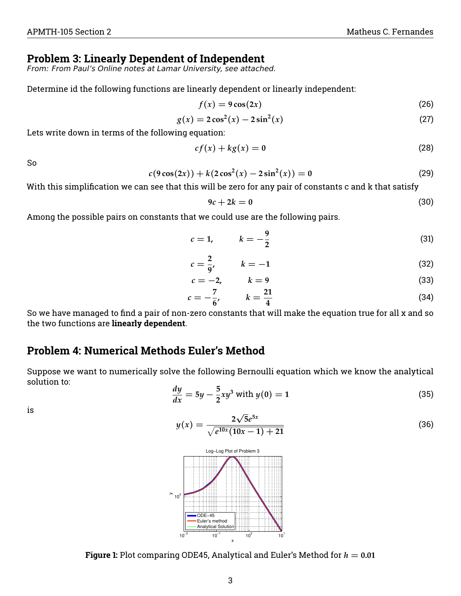## **Problem 3: Linearly Dependent of Independent**

From: From Paul's Online notes at Lamar University, see attached.

Determine id the following functions are linearly dependent or linearly independent:

$$
f(x) = 9\cos(2x) \tag{26}
$$

$$
g(x) = 2\cos^2(x) - 2\sin^2(x)
$$
 (27)

Lets write down in terms of the following equation:

$$
cf(x) + kg(x) = 0 \tag{28}
$$

So

$$
c(9\cos(2x)) + k(2\cos^2(x) - 2\sin^2(x)) = 0
$$
\n(29)

With this simplification we can see that this will be zero for any pair of constants c and k that satisfy

$$
9c + 2k = 0 \tag{30}
$$

Among the possible pairs on constants that we could use are the following pairs.

$$
c=1, \qquad k=-\frac{9}{2} \tag{31}
$$

$$
c = \frac{2}{9}, \qquad k = -1 \tag{32}
$$

$$
c = -2, \qquad k = 9 \tag{33}
$$

$$
c = -\frac{7}{6}, \qquad k = \frac{21}{4} \tag{34}
$$

So we have managed to find a pair of non-zero constants that will make the equation true for all x and so the two functions are **linearly dependent**.

# **Problem 4: Numerical Methods Euler's Method**

Suppose we want to numerically solve the following Bernoulli equation which we know the analytical solution to:

$$
\frac{dy}{dx} = 5y - \frac{5}{2}xy^3 \text{ with } y(0) = 1
$$
 (35)

is

$$
y(x) = \frac{2\sqrt{5}e^{5x}}{\sqrt{e^{10x}(10x - 1) + 21}}
$$
(36)



**Figure 1:** Plot comparing ODE45, Analytical and Euler's Method for *h* = **0.01**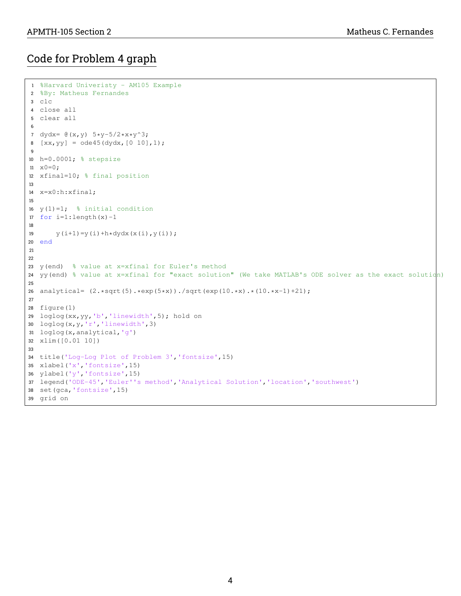# Code for Problem 4 graph

```
1 %Harvard Univeristy - AM105 Example
2 %By: Matheus Fernandes
3 clc
4 close all
5 clear all
6
7 dydx= @(x,y) 5*y-5/2*x*y^3;
8 [xx,yy] = ode45(dydx, [0 10],1);9
10 h=0.0001; % stepsize
11 \times 0=0;12 xfinal=10; % final position
13
14 x=x0:h:xfinal;
15
16 y(1)=1; \frac{1}{6} initial condition
17 for i=1: length(x)-118
19 y(i+1) = y(i) + h * dy dx(x(i), y(i));20 end
21
22
23 y(end) % value at x=xfinal for Euler's method
24 yy(end) % value at x=xfinal for "exact solution" (We take MATLAB's ODE solver as the exact solution)
25
26 analytical= (2.*sqrt(5).*exp(5*x))'.sqrt(exp(10.*x).*10.*x-1)+21);27
28 figure(1)
29 loglog(xx,yy,'b','linewidth',5); hold on
30 loglog(x,y,'r','linewidth',3)
31 loglog(x,analytical,'g')
32 xlim([0.01 10])
33
34 title('Log-Log Plot of Problem 3','fontsize',15)
35 xlabel('x','fontsize',15)
36 ylabel('y','fontsize',15)
37 legend('ODE-45','Euler''s method','Analytical Solution','location','southwest')
38 set(gca,'fontsize',15)
39 grid on
```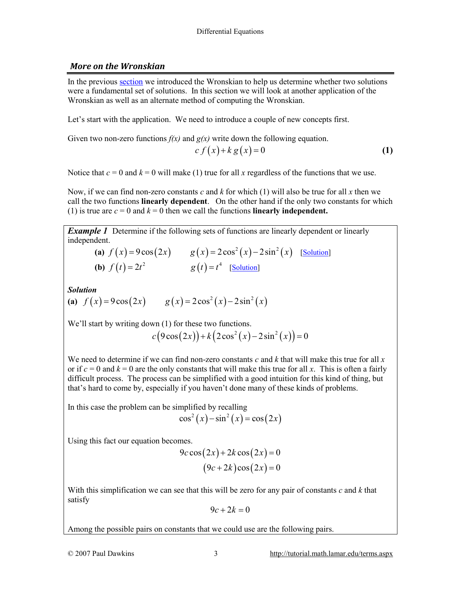### *More on the Wronskian*

In the previous section we introduced the Wronskian to help us determine whether two solutions were a fundamental set of solutions. In this section we will look at another application of the Wronskian as well as an alternate method of computing the Wronskian.

Let's start with the application. We need to introduce a couple of new concepts first.

Given two non-zero functions  $f(x)$  and  $g(x)$  write down the following equation.

$$
cf(x) + k g(x) = 0 \tag{1}
$$

Notice that  $c = 0$  and  $k = 0$  will make (1) true for all x regardless of the functions that we use.

Now, if we can find non-zero constants *c* and *k* for which (1) will also be true for all *x* then we call the two functions **linearly dependent**. On the other hand if the only two constants for which (1) is true are  $c = 0$  and  $k = 0$  then we call the functions **linearly independent.** 

**Example 1** Determine if the following sets of functions are linearly dependent or linearly independent.

| (a) $f(x) = 9\cos(2x)$   | $g(x) = 2\cos^2(x) - 2\sin^2(x)$ [Solution] |  |
|--------------------------|---------------------------------------------|--|
| <b>(b)</b> $f(t) = 2t^2$ | $g(t) = t^4$ [Solution]                     |  |

*Solution*

(a) 
$$
f(x) = 9\cos(2x)
$$
  $g(x) = 2\cos^2(x) - 2\sin^2(x)$ 

We'll start by writing down (1) for these two functions.

 $c(9\cos(2x)) + k(2\cos^2(x) - 2\sin^2(x)) = 0$ 

We need to determine if we can find non-zero constants *c* and *k* that will make this true for all *x* or if  $c = 0$  and  $k = 0$  are the only constants that will make this true for all x. This is often a fairly difficult process. The process can be simplified with a good intuition for this kind of thing, but that's hard to come by, especially if you haven't done many of these kinds of problems.

In this case the problem can be simplified by recalling

$$
\cos^2(x) - \sin^2(x) = \cos(2x)
$$

Using this fact our equation becomes.

$$
9c\cos(2x) + 2k\cos(2x) = 0
$$

$$
(9c+2k)\cos(2x) = 0
$$

With this simplification we can see that this will be zero for any pair of constants *c* and *k* that satisfy

$$
9c+2k=0
$$

Among the possible pairs on constants that we could use are the following pairs.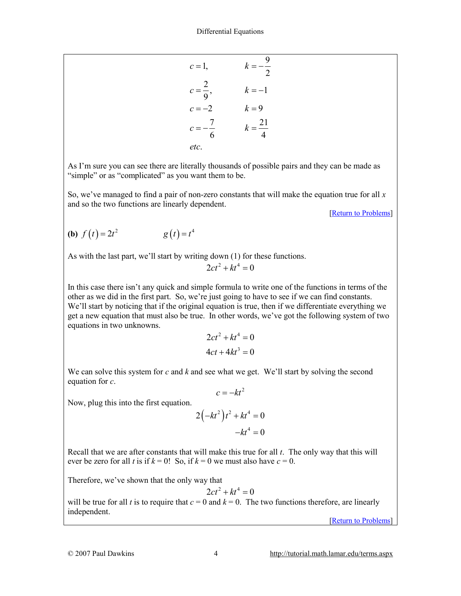| $c=1$ ,            | $k = -\frac{9}{2}$ |
|--------------------|--------------------|
| $c = \frac{2}{9},$ | $k=-1$             |
| $c = -2$           | $k=9$              |
| $c = -\frac{7}{6}$ | $k = \frac{21}{4}$ |
| etc.               |                    |

As I'm sure you can see there are literally thousands of possible pairs and they can be made as "simple" or as "complicated" as you want them to be.

So, we've managed to find a pair of non-zero constants that will make the equation true for all *x* and so the two functions are linearly dependent.

[Return to Problems]

**(b)** 
$$
f(t) = 2t^2
$$
  $g(t) = t^4$ 

As with the last part, we'll start by writing down (1) for these functions.

 $2ct^2 + kt^4 = 0$ 

In this case there isn't any quick and simple formula to write one of the functions in terms of the other as we did in the first part. So, we're just going to have to see if we can find constants. We'll start by noticing that if the original equation is true, then if we differentiate everything we get a new equation that must also be true. In other words, we've got the following system of two equations in two unknowns.

$$
2ct2 + kt4 = 0
$$

$$
4ct + 4kt3 = 0
$$

We can solve this system for *c* and *k* and see what we get. We'll start by solving the second equation for *c*.

 $c = -kt^2$ 

Now, plug this into the first equation.

$$
2\left(-kt^2\right)t^2 + kt^4 = 0
$$

$$
-kt^4 = 0
$$

Recall that we are after constants that will make this true for all *t*. The only way that this will ever be zero for all *t* is if  $k = 0$ ! So, if  $k = 0$  we must also have  $c = 0$ .

Therefore, we've shown that the only way that

$$
2ct^2+kt^4=0
$$

will be true for all *t* is to require that  $c = 0$  and  $k = 0$ . The two functions therefore, are linearly independent.

[Return to Problems]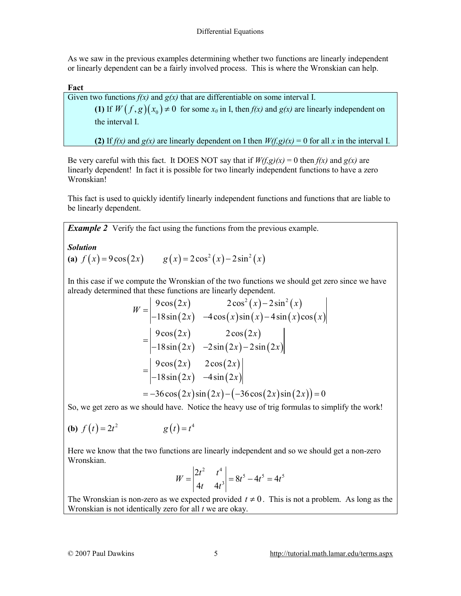As we saw in the previous examples determining whether two functions are linearly independent or linearly dependent can be a fairly involved process. This is where the Wronskian can help.

### **Fact**

Given two functions  $f(x)$  and  $g(x)$  that are differentiable on some interval I.

**(1)** If  $W(f, g)(x_0) \neq 0$  for some  $x_0$  in I, then  $f(x)$  and  $g(x)$  are linearly independent on the interval I.

**(2)** If  $f(x)$  and  $g(x)$  are linearly dependent on I then  $W(f,g)(x) = 0$  for all x in the interval I.

Be very careful with this fact. It DOES NOT say that if  $W(f,g)(x) = 0$  then  $f(x)$  and  $g(x)$  are linearly dependent! In fact it is possible for two linearly independent functions to have a zero Wronskian!

This fact is used to quickly identify linearly independent functions and functions that are liable to be linearly dependent.

**Example 2** Verify the fact using the functions from the previous example.

### *Solution*

(a)  $f(x) = 9\cos(2x)$   $g(x) = 2\cos^2(x) - 2\sin^2(x)$ 

In this case if we compute the Wronskian of the two functions we should get zero since we have already determined that these functions are linearly dependent.

$$
W = \begin{vmatrix} 9\cos(2x) & 2\cos^2(x) - 2\sin^2(x) \\ -18\sin(2x) & -4\cos(x)\sin(x) - 4\sin(x)\cos(x) \end{vmatrix}
$$
  
= 
$$
\begin{vmatrix} 9\cos(2x) & 2\cos(2x) \\ -18\sin(2x) & -2\sin(2x) - 2\sin(2x) \end{vmatrix}
$$
  
= 
$$
\begin{vmatrix} 9\cos(2x) & 2\cos(2x) \\ -18\sin(2x) & -4\sin(2x) \end{vmatrix}
$$
  
= -36 cos(2x) sin(2x) - (-36 cos(2x) sin(2x)) = 0

So, we get zero as we should have. Notice the heavy use of trig formulas to simplify the work!

**(b)** 
$$
f(t) = 2t^2
$$
  $g(t) = t^4$ 

Here we know that the two functions are linearly independent and so we should get a non-zero Wronskian.

$$
W = \begin{vmatrix} 2t^2 & t^4 \\ 4t & 4t^3 \end{vmatrix} = 8t^5 - 4t^5 = 4t^5
$$

The Wronskian is non-zero as we expected provided  $t \neq 0$ . This is not a problem. As long as the Wronskian is not identically zero for all *t* we are okay.